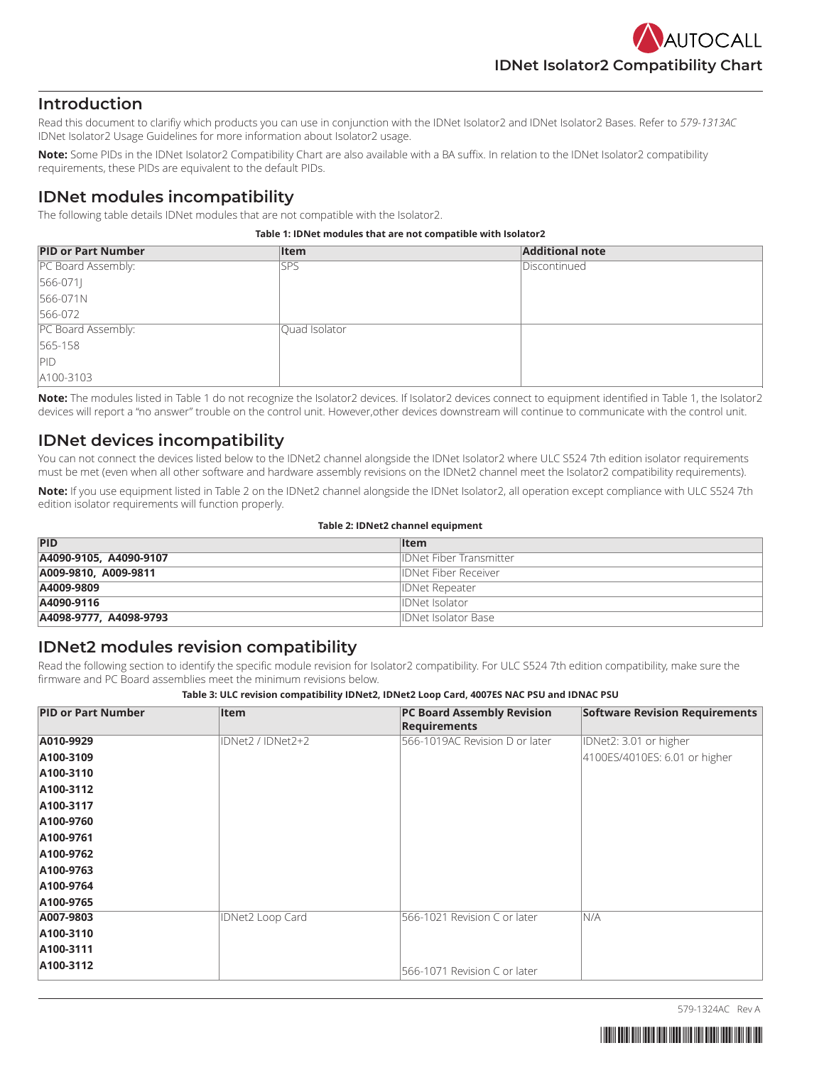## **Introduction**

Read this document to clarifiy which products you can use in conjunction with the IDNet Isolator2 and IDNet Isolator2 Bases. Refer to *579-1313AC* IDNet Isolator2 Usage Guidelines for more information about Isolator2 usage.

**Note:** Some PIDs in the IDNet Isolator2 Compatibility Chart are also available with a BA suffix. In relation to the IDNet Isolator2 compatibility requirements, these PIDs are equivalent to the default PIDs.

# **IDNet modules incompatibility**

The following table details IDNet modules that are not compatible with the Isolator2.

#### <span id="page-0-0"></span>**Table 1: IDNet modules that are not compatible with Isolator2**

| <b>PID or Part Number</b> | <b>Item</b>   | <b>Additional note</b> |
|---------------------------|---------------|------------------------|
| PC Board Assembly:        | <b>SPS</b>    | Discontinued           |
| $[566-071]$               |               |                        |
| 566-071N                  |               |                        |
| 566-072                   |               |                        |
| PC Board Assembly:        | Ouad Isolator |                        |
| 565-158                   |               |                        |
| PID                       |               |                        |
| A100-3103                 |               |                        |

**Note:** The modules listed in [Table](#page-0-0) 1 do not recognize the Isolator2 devices. If Isolator2 devices connect to equipment identified in [Table](#page-0-0) 1, the Isolator2 devices will report a "no answer" trouble on the control unit. However,other devices downstream will continue to communicate with the control unit.

# **IDNet devices incompatibility**

You can not connect the devices listed below to the IDNet2 channel alongside the IDNet Isolator2 where ULC S524 7th edition isolator requirements must be met (even when all other software and hardware assembly revisions on the IDNet2 channel meet the Isolator2 compatibility requirements).

**Note:** If you use equipment listed in [Table](#page-0-1) 2 on the IDNet2 channel alongside the IDNet Isolator2, all operation except compliance with ULC S524 7th edition isolator requirements will function properly.

#### <span id="page-0-1"></span>**Table 2: IDNet2 channel equipment**

| PID                    | <b>Item</b>                    |
|------------------------|--------------------------------|
| A4090-9105, A4090-9107 | <b>IDNet Fiber Transmitter</b> |
| A009-9810, A009-9811   | <b>IDNet Fiber Receiver</b>    |
| A4009-9809             | <b>IDNet Repeater</b>          |
| A4090-9116             | <b>IDNet Isolator</b>          |
| A4098-9777, A4098-9793 | IDNet Isolator Base            |

# **IDNet2 modules revision compatibility**

Read the following section to identify the specific module revision for Isolator2 compatibility. For ULC S524 7th edition compatibility, make sure the firmware and PC Board assemblies meet the minimum revisions below.

| Table 3: ULC revision compatibility IDNet2, IDNet2 Loop Card, 4007ES NAC PSU and IDNAC PSU |  |  |
|--------------------------------------------------------------------------------------------|--|--|
|                                                                                            |  |  |

| <b>PID or Part Number</b> | <b>Item</b>             | <b>PC Board Assembly Revision</b><br><b>Requirements</b> | <b>Software Revision Requirements</b> |
|---------------------------|-------------------------|----------------------------------------------------------|---------------------------------------|
| A010-9929                 | IDNet2 / IDNet2+2       | 566-1019AC Revision D or later                           | IDNet2: 3.01 or higher                |
| A100-3109                 |                         |                                                          | 4100ES/4010ES: 6.01 or higher         |
| A100-3110                 |                         |                                                          |                                       |
| A100-3112                 |                         |                                                          |                                       |
| A100-3117                 |                         |                                                          |                                       |
| A100-9760                 |                         |                                                          |                                       |
| A100-9761                 |                         |                                                          |                                       |
| A100-9762                 |                         |                                                          |                                       |
| A100-9763                 |                         |                                                          |                                       |
| A100-9764                 |                         |                                                          |                                       |
| A100-9765                 |                         |                                                          |                                       |
| A007-9803                 | <b>IDNet2 Loop Card</b> | 566-1021 Revision C or later                             | N/A                                   |
| A100-3110                 |                         |                                                          |                                       |
| A100-3111                 |                         |                                                          |                                       |
| A100-3112                 |                         | 566-1071 Revision C or later                             |                                       |

579-1324AC Rev A

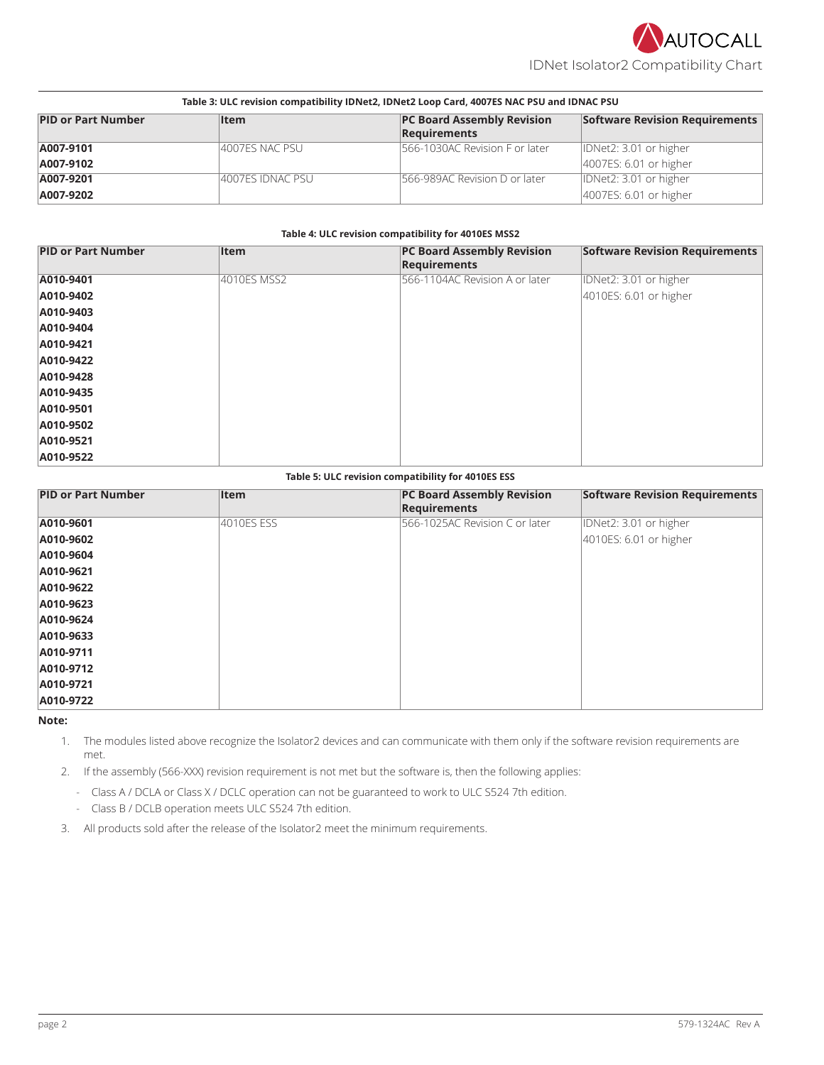

IDNet Isolator2 Compatibility Chart

| Table 3: ULC revision compatibility IDNet2, IDNet2 Loop Card, 4007ES NAC PSU and IDNAC PSU |                  |                                   |                                |
|--------------------------------------------------------------------------------------------|------------------|-----------------------------------|--------------------------------|
| <b>PID or Part Number</b>                                                                  | <b>Item</b>      | <b>PC Board Assembly Revision</b> | Software Revision Requirements |
|                                                                                            |                  | Requirements                      |                                |
| A007-9101                                                                                  | 4007ES NAC PSU   | 566-1030AC Revision F or later    | IDNet2: 3.01 or higher         |
| A007-9102                                                                                  |                  |                                   | 4007ES: 6.01 or higher         |
| A007-9201                                                                                  | 4007ES IDNAC PSU | 566-989AC Revision D or later     | IDNet2: 3.01 or higher         |
| A007-9202                                                                                  |                  |                                   | 4007ES: 6.01 or higher         |

### **Table 4: ULC revision compatibility for 4010ES MSS2**

| <b>PID or Part Number</b> | <b>Item</b> | <b>PC Board Assembly Revision</b><br><b>Requirements</b> | <b>Software Revision Requirements</b> |
|---------------------------|-------------|----------------------------------------------------------|---------------------------------------|
| A010-9401                 | 4010ES MSS2 | 566-1104AC Revision A or later                           | IDNet2: 3.01 or higher                |
| A010-9402                 |             |                                                          | 4010ES: 6.01 or higher                |
| A010-9403                 |             |                                                          |                                       |
| A010-9404                 |             |                                                          |                                       |
| A010-9421                 |             |                                                          |                                       |
| A010-9422                 |             |                                                          |                                       |
| A010-9428                 |             |                                                          |                                       |
| A010-9435                 |             |                                                          |                                       |
| A010-9501                 |             |                                                          |                                       |
| A010-9502                 |             |                                                          |                                       |
| A010-9521                 |             |                                                          |                                       |
| A010-9522                 |             |                                                          |                                       |

#### **Table 5: ULC revision compatibility for 4010ES ESS**

| <b>PID or Part Number</b> | <b>Item</b> | <b>PC Board Assembly Revision</b><br><b>Requirements</b> | <b>Software Revision Requirements</b> |
|---------------------------|-------------|----------------------------------------------------------|---------------------------------------|
| A010-9601                 | 4010ES ESS  | 566-1025AC Revision C or later                           | IDNet2: 3.01 or higher                |
| A010-9602                 |             |                                                          | 4010ES: 6.01 or higher                |
| A010-9604                 |             |                                                          |                                       |
| A010-9621                 |             |                                                          |                                       |
| A010-9622                 |             |                                                          |                                       |
| A010-9623                 |             |                                                          |                                       |
| A010-9624                 |             |                                                          |                                       |
| A010-9633                 |             |                                                          |                                       |
| A010-9711                 |             |                                                          |                                       |
| A010-9712                 |             |                                                          |                                       |
| A010-9721                 |             |                                                          |                                       |
| A010-9722                 |             |                                                          |                                       |

**Note:**

1. The modules listed above recognize the Isolator2 devices and can communicate with them only if the software revision requirements are met.

2. If the assembly (566-XXX) revision requirement is not met but the software is, then the following applies:

- Class A / DCLA or Class X / DCLC operation can not be guaranteed to work to ULC S524 7th edition.

- Class B / DCLB operation meets ULC S524 7th edition.

3. All products sold after the release of the Isolator2 meet the minimum requirements.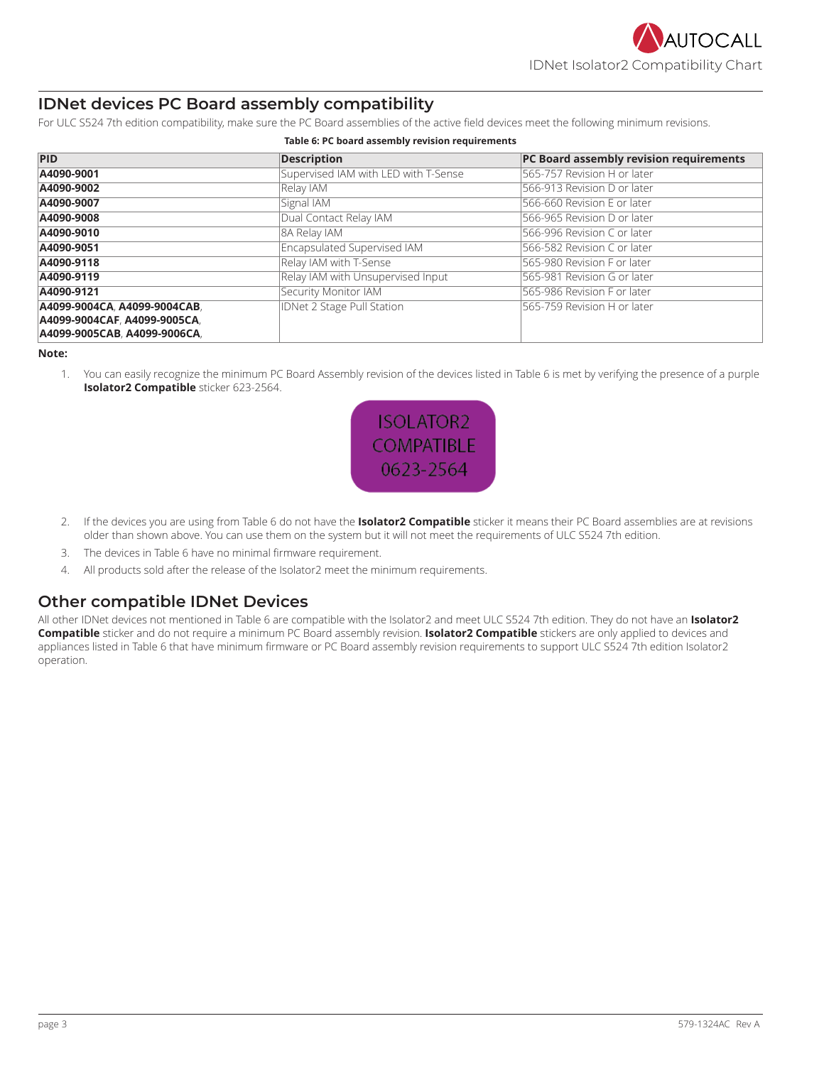# **IDNet devices PC Board assembly compatibility**

For ULC S524 7th edition compatibility, make sure the PC Board assemblies of the active field devices meet the following minimum revisions.

| <b>PID</b>                   | <b>Description</b>                   | PC Board assembly revision requirements |  |  |
|------------------------------|--------------------------------------|-----------------------------------------|--|--|
| A4090-9001                   | Supervised IAM with LED with T-Sense | 565-757 Revision H or later             |  |  |
| A4090-9002                   | Relay IAM                            | 566-913 Revision D or later             |  |  |
| A4090-9007                   | Signal IAM                           | 566-660 Revision E or later             |  |  |
| A4090-9008                   | Dual Contact Relay IAM               | 566-965 Revision D or later             |  |  |
| A4090-9010                   | 8A Relay IAM                         | 566-996 Revision C or later             |  |  |
| A4090-9051                   | Encapsulated Supervised IAM          | 566-582 Revision C or later             |  |  |
| A4090-9118                   | Relay IAM with T-Sense               | 565-980 Revision F or later             |  |  |
| A4090-9119                   | Relay IAM with Unsupervised Input    | 565-981 Revision G or later             |  |  |
| A4090-9121                   | Security Monitor IAM                 | 565-986 Revision F or later             |  |  |
| A4099-9004CA, A4099-9004CAB, | <b>IDNet 2 Stage Pull Station</b>    | 565-759 Revision H or later             |  |  |
| A4099-9004CAF. A4099-9005CA. |                                      |                                         |  |  |
| A4099-9005CAB, A4099-9006CA, |                                      |                                         |  |  |

#### <span id="page-2-0"></span>**Table 6: PC board assembly revision requirements**

### **Note:**

1. You can easily recognize the minimum PC Board Assembly revision of the devices listed in [Table](#page-2-0) 6 is met by verifying the presence of a purple **Isolator2 Compatible** sticker 623-2564.



- 2. If the devices you are using from [Table](#page-2-0) 6 do not have the **Isolator2 Compatible** sticker it means their PC Board assemblies are at revisions older than shown above. You can use them on the system but it will not meet the requirements of ULC S524 7th edition.
- 3. The devices in [Table](#page-2-0) 6 have no minimal firmware requirement.
- 4. All products sold after the release of the Isolator2 meet the minimum requirements.

# **Other compatible IDNet Devices**

All other IDNet devices not mentioned in [Table](#page-2-0) 6 are compatible with the Isolator2 and meet ULC S524 7th edition. They do not have an **Isolator2 Compatible** sticker and do not require a minimum PC Board assembly revision. **Isolator2 Compatible** stickers are only applied to devices and appliances listed in [Table](#page-2-0) 6 that have minimum firmware or PC Board assembly revision requirements to support ULC S524 7th edition Isolator2 operation.